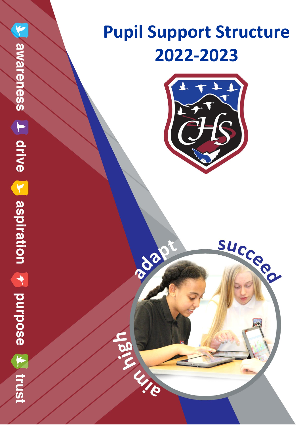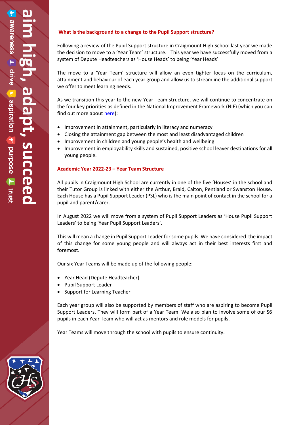# **What is the background to a change to the Pupil Support structure?**

Following a review of the Pupil Support structure in Craigmount High School last year we made the decision to move to a 'Year Team' structure. This year we have successfully moved from a system of Depute Headteachers as 'House Heads' to being 'Year Heads'.

The move to a 'Year Team' structure will allow an even tighter focus on the curriculum, attainment and behaviour of each year group and allow us to streamline the additional support we offer to meet learning needs.

As we transition this year to the new Year Team structure, we will continue to concentrate on the four key priorities as defined in the National Improvement Framework (NIF) (which you can find out more about [here\)](https://www.gov.scot/binaries/content/documents/govscot/publications/strategy-plan/2020/12/2021-national-improvement-framework-improvement-plan/documents/achieving-excellence-equity-2021-national-improvement-framework-improvement-plan/achieving-excellence-equity-2021-national-improvement-framework-improvement-plan/govscot%3Adocument/achieving-excellence-equity-2021-national-improvement-framework-improvement-plan.pdf?forceDownload=true):

- Improvement in attainment, particularly in literacy and numeracy
- Closing the attainment gap between the most and least disadvantaged children
- Improvement in children and young people's health and wellbeing
- Improvement in employability skills and sustained, positive school leaver destinations for all young people.

#### **Academic Year 2022-23 – Year Team Structure**

All pupils in Craigmount High School are currently in one of the five 'Houses' in the school and their Tutor Group is linked with either the Arthur, Braid, Calton, Pentland or Swanston House. Each House has a Pupil Support Leader (PSL) who is the main point of contact in the school for a pupil and parent/carer.

In August 2022 we will move from a system of Pupil Support Leaders as 'House Pupil Support Leaders' to being 'Year Pupil Support Leaders'.

This will mean a change in Pupil Support Leader for some pupils. We have considered the impact of this change for some young people and will always act in their best interests first and foremost.

Our six Year Teams will be made up of the following people:

- Year Head (Depute Headteacher)
- Pupil Support Leader
- Support for Learning Teacher

Each year group will also be supported by members of staff who are aspiring to become Pupil Support Leaders. They will form part of a Year Team. We also plan to involve some of our S6 pupils in each Year Team who will act as mentors and role models for pupils.

Year Teams will move through the school with pupils to ensure continuity.